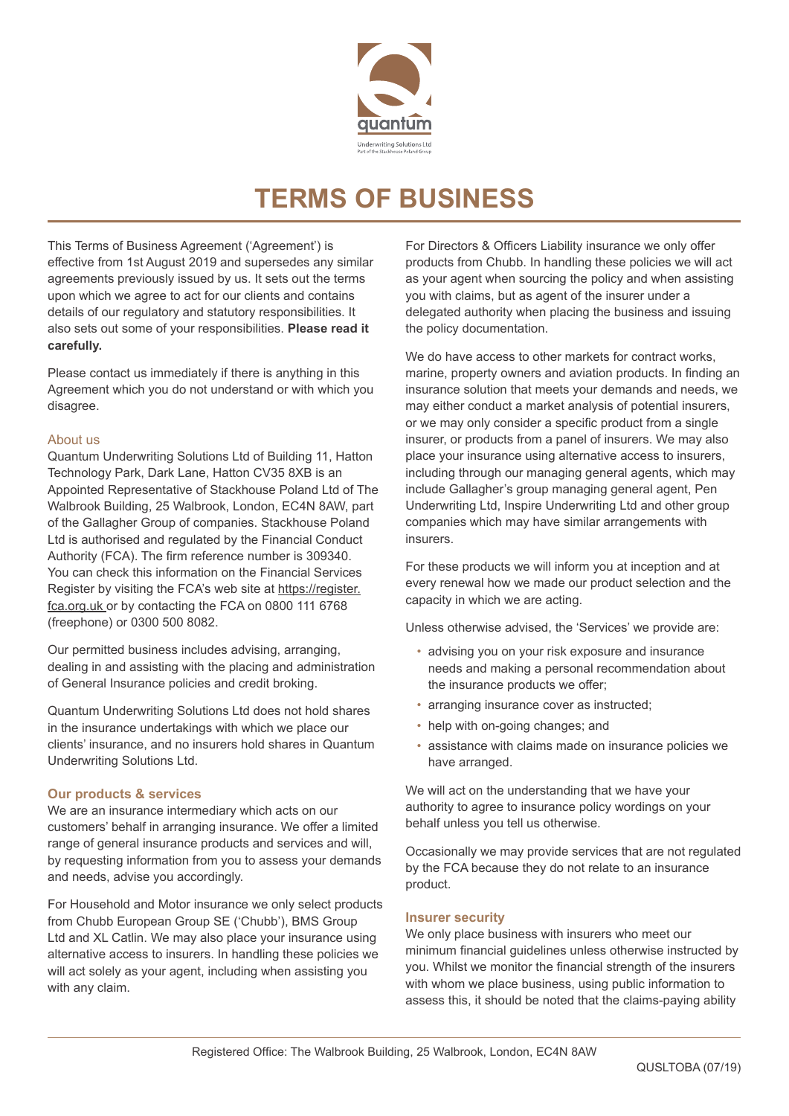

# **TERMS OF BUSINESS**

This Terms of Business Agreement ('Agreement') is effective from 1st August 2019 and supersedes any similar agreements previously issued by us. It sets out the terms upon which we agree to act for our clients and contains details of our regulatory and statutory responsibilities. It also sets out some of your responsibilities. **Please read it carefully.** 

Please contact us immediately if there is anything in this Agreement which you do not understand or with which you disagree.

## About us

Quantum Underwriting Solutions Ltd of Building 11, Hatton Technology Park, Dark Lane, Hatton CV35 8XB is an Appointed Representative of Stackhouse Poland Ltd of The Walbrook Building, 25 Walbrook, London, EC4N 8AW, part of the Gallagher Group of companies. Stackhouse Poland Ltd is authorised and regulated by the Financial Conduct Authority (FCA). The firm reference number is 309340. You can check this information on the Financial Services Register by visiting the FCA's web site at https://register. fca.org.uk or by contacting the FCA on 0800 111 6768 (freephone) or 0300 500 8082.

Our permitted business includes advising, arranging, dealing in and assisting with the placing and administration of General Insurance policies and credit broking.

Quantum Underwriting Solutions Ltd does not hold shares in the insurance undertakings with which we place our clients' insurance, and no insurers hold shares in Quantum Underwriting Solutions Ltd.

# **Our products & services**

We are an insurance intermediary which acts on our customers' behalf in arranging insurance. We offer a limited range of general insurance products and services and will, by requesting information from you to assess your demands and needs, advise you accordingly.

For Household and Motor insurance we only select products from Chubb European Group SE ('Chubb'), BMS Group Ltd and XL Catlin. We may also place your insurance using alternative access to insurers. In handling these policies we will act solely as your agent, including when assisting you with any claim.

For Directors & Officers Liability insurance we only offer products from Chubb. In handling these policies we will act as your agent when sourcing the policy and when assisting you with claims, but as agent of the insurer under a delegated authority when placing the business and issuing the policy documentation.

We do have access to other markets for contract works, marine, property owners and aviation products. In finding an insurance solution that meets your demands and needs, we may either conduct a market analysis of potential insurers, or we may only consider a specific product from a single insurer, or products from a panel of insurers. We may also place your insurance using alternative access to insurers, including through our managing general agents, which may include Gallagher's group managing general agent, Pen Underwriting Ltd, Inspire Underwriting Ltd and other group companies which may have similar arrangements with insurers.

For these products we will inform you at inception and at every renewal how we made our product selection and the capacity in which we are acting.

Unless otherwise advised, the 'Services' we provide are:

- advising you on your risk exposure and insurance needs and making a personal recommendation about the insurance products we offer;
- arranging insurance cover as instructed;
- help with on-going changes; and
- assistance with claims made on insurance policies we have arranged.

We will act on the understanding that we have your authority to agree to insurance policy wordings on your behalf unless you tell us otherwise.

Occasionally we may provide services that are not regulated by the FCA because they do not relate to an insurance product.

#### **Insurer security**

We only place business with insurers who meet our minimum financial guidelines unless otherwise instructed by you. Whilst we monitor the financial strength of the insurers with whom we place business, using public information to assess this, it should be noted that the claims-paying ability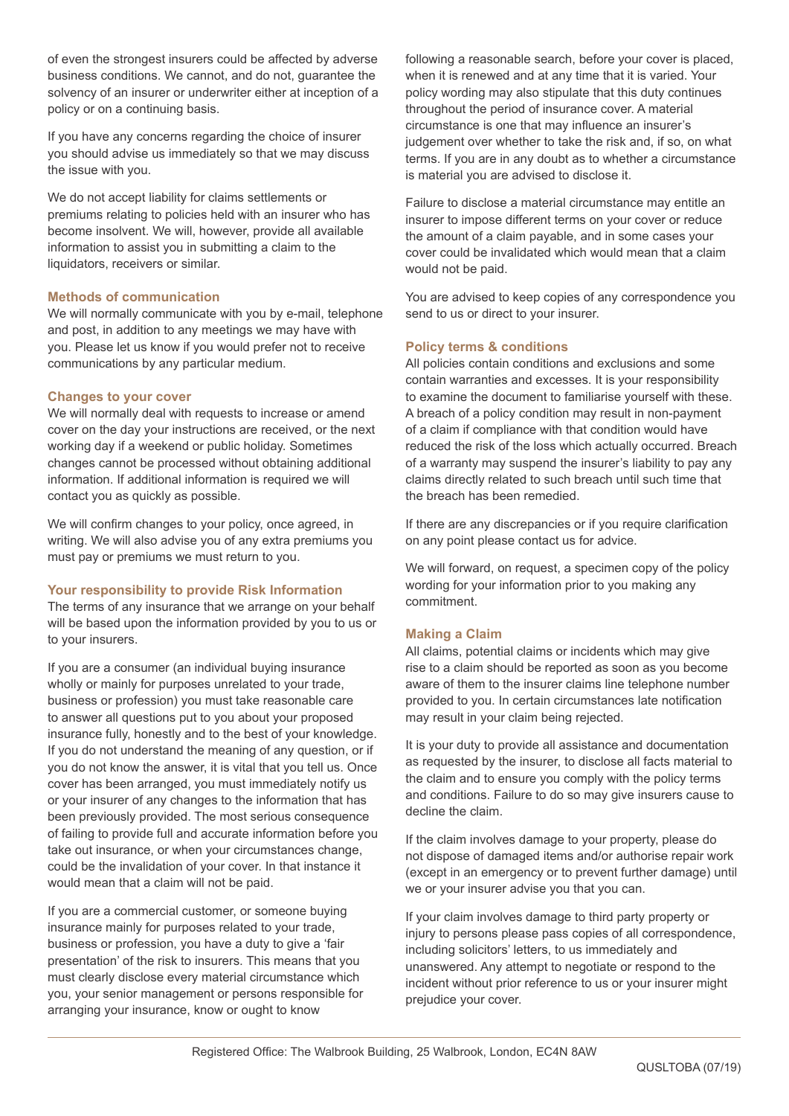of even the strongest insurers could be affected by adverse business conditions. We cannot, and do not, guarantee the solvency of an insurer or underwriter either at inception of a policy or on a continuing basis.

If you have any concerns regarding the choice of insurer you should advise us immediately so that we may discuss the issue with you.

We do not accept liability for claims settlements or premiums relating to policies held with an insurer who has become insolvent. We will, however, provide all available information to assist you in submitting a claim to the liquidators, receivers or similar.

## **Methods of communication**

We will normally communicate with you by e-mail, telephone and post, in addition to any meetings we may have with you. Please let us know if you would prefer not to receive communications by any particular medium.

#### **Changes to your cover**

We will normally deal with requests to increase or amend cover on the day your instructions are received, or the next working day if a weekend or public holiday. Sometimes changes cannot be processed without obtaining additional information. If additional information is required we will contact you as quickly as possible.

We will confirm changes to your policy, once agreed, in writing. We will also advise you of any extra premiums you must pay or premiums we must return to you.

# **Your responsibility to provide Risk Information**

The terms of any insurance that we arrange on your behalf will be based upon the information provided by you to us or to your insurers.

If you are a consumer (an individual buying insurance wholly or mainly for purposes unrelated to your trade, business or profession) you must take reasonable care to answer all questions put to you about your proposed insurance fully, honestly and to the best of your knowledge. If you do not understand the meaning of any question, or if you do not know the answer, it is vital that you tell us. Once cover has been arranged, you must immediately notify us or your insurer of any changes to the information that has been previously provided. The most serious consequence of failing to provide full and accurate information before you take out insurance, or when your circumstances change, could be the invalidation of your cover. In that instance it would mean that a claim will not be paid.

If you are a commercial customer, or someone buying insurance mainly for purposes related to your trade, business or profession, you have a duty to give a 'fair presentation' of the risk to insurers. This means that you must clearly disclose every material circumstance which you, your senior management or persons responsible for arranging your insurance, know or ought to know

following a reasonable search, before your cover is placed, when it is renewed and at any time that it is varied. Your policy wording may also stipulate that this duty continues throughout the period of insurance cover. A material circumstance is one that may influence an insurer's judgement over whether to take the risk and, if so, on what terms. If you are in any doubt as to whether a circumstance is material you are advised to disclose it.

Failure to disclose a material circumstance may entitle an insurer to impose different terms on your cover or reduce the amount of a claim payable, and in some cases your cover could be invalidated which would mean that a claim would not be paid.

You are advised to keep copies of any correspondence you send to us or direct to your insurer.

# **Policy terms & conditions**

All policies contain conditions and exclusions and some contain warranties and excesses. It is your responsibility to examine the document to familiarise yourself with these. A breach of a policy condition may result in non-payment of a claim if compliance with that condition would have reduced the risk of the loss which actually occurred. Breach of a warranty may suspend the insurer's liability to pay any claims directly related to such breach until such time that the breach has been remedied.

If there are any discrepancies or if you require clarification on any point please contact us for advice.

We will forward, on request, a specimen copy of the policy wording for your information prior to you making any commitment.

# **Making a Claim**

All claims, potential claims or incidents which may give rise to a claim should be reported as soon as you become aware of them to the insurer claims line telephone number provided to you. In certain circumstances late notification may result in your claim being rejected.

It is your duty to provide all assistance and documentation as requested by the insurer, to disclose all facts material to the claim and to ensure you comply with the policy terms and conditions. Failure to do so may give insurers cause to decline the claim.

If the claim involves damage to your property, please do not dispose of damaged items and/or authorise repair work (except in an emergency or to prevent further damage) until we or your insurer advise you that you can.

If your claim involves damage to third party property or injury to persons please pass copies of all correspondence, including solicitors' letters, to us immediately and unanswered. Any attempt to negotiate or respond to the incident without prior reference to us or your insurer might prejudice your cover.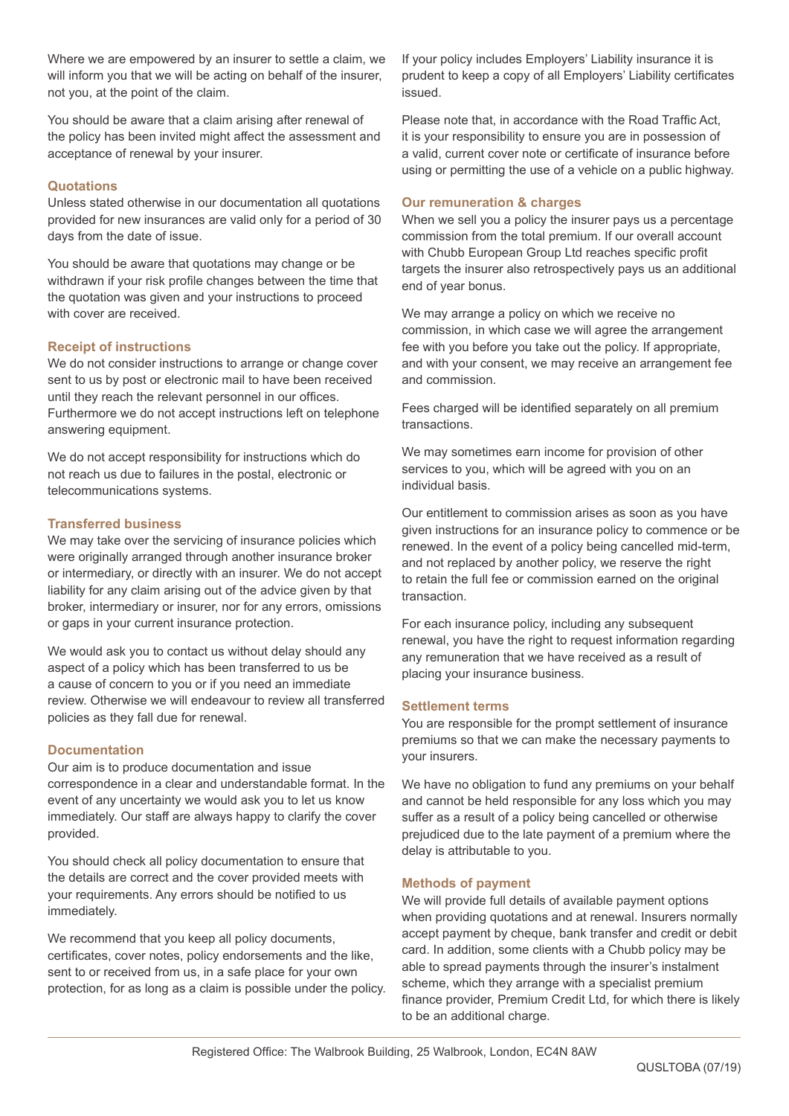Where we are empowered by an insurer to settle a claim, we will inform you that we will be acting on behalf of the insurer, not you, at the point of the claim.

You should be aware that a claim arising after renewal of the policy has been invited might affect the assessment and acceptance of renewal by your insurer.

# **Quotations**

Unless stated otherwise in our documentation all quotations provided for new insurances are valid only for a period of 30 days from the date of issue.

You should be aware that quotations may change or be withdrawn if your risk profile changes between the time that the quotation was given and your instructions to proceed with cover are received.

# **Receipt of instructions**

We do not consider instructions to arrange or change cover sent to us by post or electronic mail to have been received until they reach the relevant personnel in our offices. Furthermore we do not accept instructions left on telephone answering equipment.

We do not accept responsibility for instructions which do not reach us due to failures in the postal, electronic or telecommunications systems.

# **Transferred business**

We may take over the servicing of insurance policies which were originally arranged through another insurance broker or intermediary, or directly with an insurer. We do not accept liability for any claim arising out of the advice given by that broker, intermediary or insurer, nor for any errors, omissions or gaps in your current insurance protection.

We would ask you to contact us without delay should any aspect of a policy which has been transferred to us be a cause of concern to you or if you need an immediate review. Otherwise we will endeavour to review all transferred policies as they fall due for renewal.

# **Documentation**

Our aim is to produce documentation and issue correspondence in a clear and understandable format. In the event of any uncertainty we would ask you to let us know immediately. Our staff are always happy to clarify the cover provided.

You should check all policy documentation to ensure that the details are correct and the cover provided meets with your requirements. Any errors should be notified to us immediately.

We recommend that you keep all policy documents, certificates, cover notes, policy endorsements and the like, sent to or received from us, in a safe place for your own protection, for as long as a claim is possible under the policy. If your policy includes Employers' Liability insurance it is prudent to keep a copy of all Employers' Liability certificates issued.

Please note that, in accordance with the Road Traffic Act, it is your responsibility to ensure you are in possession of a valid, current cover note or certificate of insurance before using or permitting the use of a vehicle on a public highway.

# **Our remuneration & charges**

When we sell you a policy the insurer pays us a percentage commission from the total premium. If our overall account with Chubb European Group Ltd reaches specific profit targets the insurer also retrospectively pays us an additional end of year bonus.

We may arrange a policy on which we receive no commission, in which case we will agree the arrangement fee with you before you take out the policy. If appropriate, and with your consent, we may receive an arrangement fee and commission.

Fees charged will be identified separately on all premium transactions.

We may sometimes earn income for provision of other services to you, which will be agreed with you on an individual basis.

Our entitlement to commission arises as soon as you have given instructions for an insurance policy to commence or be renewed. In the event of a policy being cancelled mid-term, and not replaced by another policy, we reserve the right to retain the full fee or commission earned on the original transaction.

For each insurance policy, including any subsequent renewal, you have the right to request information regarding any remuneration that we have received as a result of placing your insurance business.

# **Settlement terms**

You are responsible for the prompt settlement of insurance premiums so that we can make the necessary payments to your insurers.

We have no obligation to fund any premiums on your behalf and cannot be held responsible for any loss which you may suffer as a result of a policy being cancelled or otherwise prejudiced due to the late payment of a premium where the delay is attributable to you.

# **Methods of payment**

We will provide full details of available payment options when providing quotations and at renewal. Insurers normally accept payment by cheque, bank transfer and credit or debit card. In addition, some clients with a Chubb policy may be able to spread payments through the insurer's instalment scheme, which they arrange with a specialist premium finance provider, Premium Credit Ltd, for which there is likely to be an additional charge.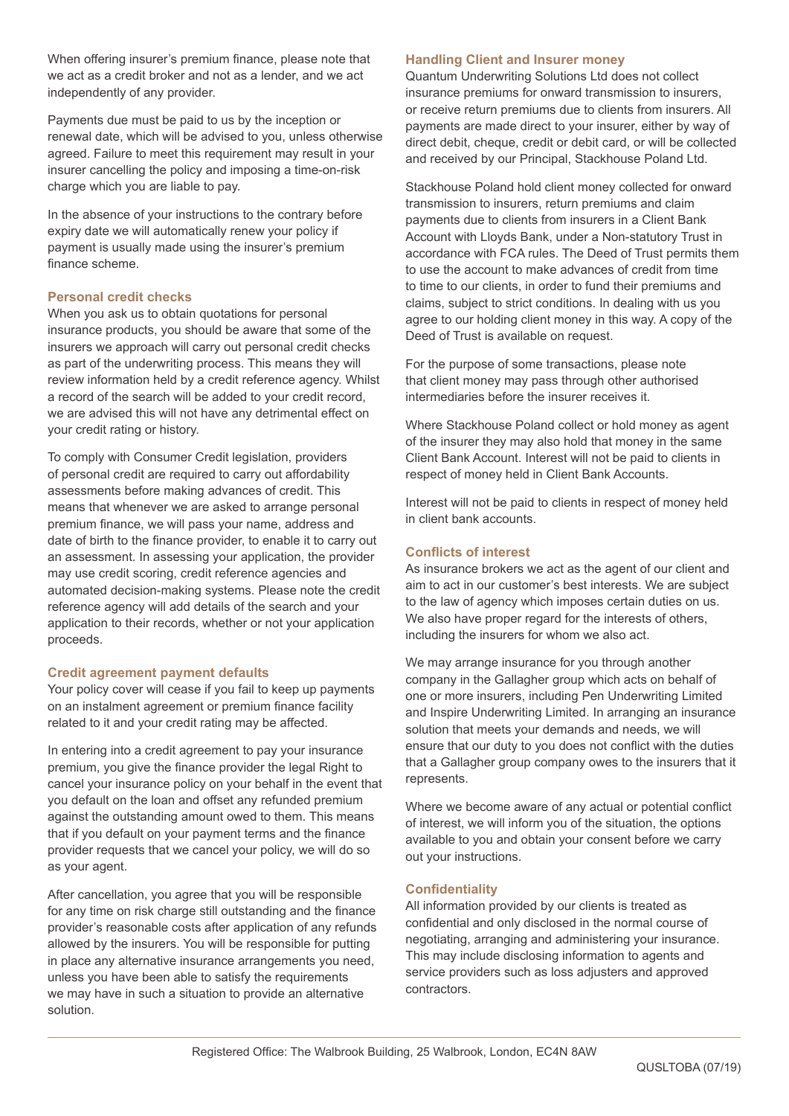When offering insurer's premium finance, please note that we act as a credit broker and not as a lender, and we act independently of any provider.

Payments due must be paid to us by the inception or renewal date, which will be advised to you, unless otherwise agreed. Failure to meet this requirement may result in your insurer cancelling the policy and imposing a time-on-risk charge which you are liable to pay.

In the absence of your instructions to the contrary before expiry date we will automatically renew your policy if payment is usually made using the insurer's premium finance scheme.

# **Personal credit checks**

When you ask us to obtain quotations for personal insurance products, you should be aware that some of the insurers we approach will carry out personal credit checks as part of the underwriting process. This means they will review information held by a credit reference agency. Whilst a record of the search will be added to your credit record, we are advised this will not have any detrimental effect on your credit rating or history.

To comply with Consumer Credit legislation, providers of personal credit are required to carry out affordability assessments before making advances of credit. This means that whenever we are asked to arrange personal premium finance, we will pass your name, address and date of birth to the finance provider, to enable it to carry out an assessment. In assessing your application, the provider may use credit scoring, credit reference agencies and automated decision-making systems. Please note the credit reference agency will add details of the search and your application to their records, whether or not your application proceeds.

# **Credit agreement payment defaults**

Your policy cover will cease if you fail to keep up payments on an instalment agreement or premium finance facility related to it and your credit rating may be affected.

In entering into a credit agreement to pay your insurance premium, you give the finance provider the legal Right to cancel your insurance policy on your behalf in the event that you default on the loan and offset any refunded premium against the outstanding amount owed to them. This means that if you default on your payment terms and the finance provider requests that we cancel your policy, we will do so as your agent.

After cancellation, you agree that you will be responsible for any time on risk charge still outstanding and the finance provider's reasonable costs after application of any refunds allowed by the insurers. You will be responsible for putting in place any alternative insurance arrangements you need, unless you have been able to satisfy the requirements we may have in such a situation to provide an alternative solution.

## **Handling Client and Insurer money**

Quantum Underwriting Solutions Ltd does not collect insurance premiums for onward transmission to insurers, or receive return premiums due to clients from insurers. All payments are made direct to your insurer, either by way of direct debit, cheque, credit or debit card, or will be collected and received by our Principal, Stackhouse Poland Ltd.

Stackhouse Poland hold client money collected for onward transmission to insurers, return premiums and claim payments due to clients from insurers in a Client Bank Account with Lloyds Bank, under a Non-statutory Trust in accordance with FCA rules. The Deed of Trust permits them to use the account to make advances of credit from time to time to our clients, in order to fund their premiums and claims, subject to strict conditions. In dealing with us you agree to our holding client money in this way. A copy of the Deed of Trust is available on request.

For the purpose of some transactions, please note that client money may pass through other authorised intermediaries before the insurer receives it.

Where Stackhouse Poland collect or hold money as agent of the insurer they may also hold that money in the same Client Bank Account. Interest will not be paid to clients in respect of money held in Client Bank Accounts.

Interest will not be paid to clients in respect of money held in client bank accounts.

# **Conflicts of interest**

As insurance brokers we act as the agent of our client and aim to act in our customer's best interests. We are subject to the law of agency which imposes certain duties on us. We also have proper regard for the interests of others. including the insurers for whom we also act.

We may arrange insurance for you through another company in the Gallagher group which acts on behalf of one or more insurers, including Pen Underwriting Limited and Inspire Underwriting Limited. In arranging an insurance solution that meets your demands and needs, we will ensure that our duty to you does not conflict with the duties that a Gallagher group company owes to the insurers that it represents.

Where we become aware of any actual or potential conflict of interest, we will inform you of the situation, the options available to you and obtain your consent before we carry out your instructions.

# **Confidentiality**

All information provided by our clients is treated as confidential and only disclosed in the normal course of negotiating, arranging and administering your insurance. This may include disclosing information to agents and service providers such as loss adjusters and approved contractors.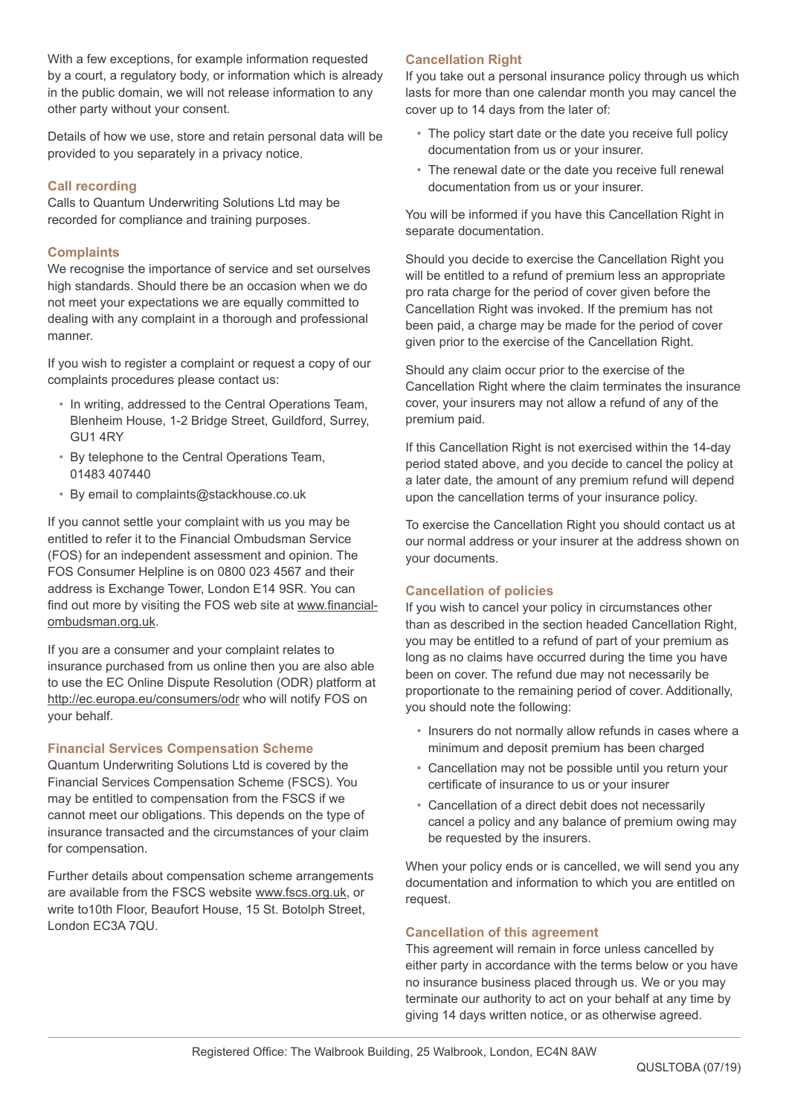With a few exceptions, for example information requested by a court, a regulatory body, or information which is already in the public domain, we will not release information to any other party without your consent.

Details of how we use, store and retain personal data will be provided to you separately in a privacy notice.

# **Call recording**

Calls to Quantum Underwriting Solutions Ltd may be recorded for compliance and training purposes.

## **Complaints**

We recognise the importance of service and set ourselves high standards. Should there be an occasion when we do not meet your expectations we are equally committed to dealing with any complaint in a thorough and professional manner.

If you wish to register a complaint or request a copy of our complaints procedures please contact us:

- In writing, addressed to the Central Operations Team, Blenheim House, 1-2 Bridge Street, Guildford, Surrey, GU1 4RY
- By telephone to the Central Operations Team, 01483 407440
- By email to complaints@stackhouse.co.uk

If you cannot settle your complaint with us you may be entitled to refer it to the Financial Ombudsman Service (FOS) for an independent assessment and opinion. The FOS Consumer Helpline is on 0800 023 4567 and their address is Exchange Tower, London E14 9SR. You can find out more by visiting the FOS web site at www.financialombudsman.org.uk.

If you are a consumer and your complaint relates to insurance purchased from us online then you are also able to use the EC Online Dispute Resolution (ODR) platform at http://ec.europa.eu/consumers/odr who will notify FOS on your behalf.

# **Financial Services Compensation Scheme**

Quantum Underwriting Solutions Ltd is covered by the Financial Services Compensation Scheme (FSCS). You may be entitled to compensation from the FSCS if we cannot meet our obligations. This depends on the type of insurance transacted and the circumstances of your claim for compensation.

Further details about compensation scheme arrangements are available from the FSCS website www.fscs.org.uk, or write to10th Floor, Beaufort House, 15 St. Botolph Street, London EC3A 7QU.

# **Cancellation Right**

If you take out a personal insurance policy through us which lasts for more than one calendar month you may cancel the cover up to 14 days from the later of:

- The policy start date or the date you receive full policy documentation from us or your insurer.
- The renewal date or the date you receive full renewal documentation from us or your insurer.

You will be informed if you have this Cancellation Right in separate documentation.

Should you decide to exercise the Cancellation Right you will be entitled to a refund of premium less an appropriate pro rata charge for the period of cover given before the Cancellation Right was invoked. If the premium has not been paid, a charge may be made for the period of cover given prior to the exercise of the Cancellation Right.

Should any claim occur prior to the exercise of the Cancellation Right where the claim terminates the insurance cover, your insurers may not allow a refund of any of the premium paid.

If this Cancellation Right is not exercised within the 14-day period stated above, and you decide to cancel the policy at a later date, the amount of any premium refund will depend upon the cancellation terms of your insurance policy.

To exercise the Cancellation Right you should contact us at our normal address or your insurer at the address shown on your documents.

# **Cancellation of policies**

If you wish to cancel your policy in circumstances other than as described in the section headed Cancellation Right, you may be entitled to a refund of part of your premium as long as no claims have occurred during the time you have been on cover. The refund due may not necessarily be proportionate to the remaining period of cover. Additionally, you should note the following:

- Insurers do not normally allow refunds in cases where a minimum and deposit premium has been charged
- Cancellation may not be possible until you return your certificate of insurance to us or your insurer
- Cancellation of a direct debit does not necessarily cancel a policy and any balance of premium owing may be requested by the insurers.

When your policy ends or is cancelled, we will send you any documentation and information to which you are entitled on request.

#### **Cancellation of this agreement**

This agreement will remain in force unless cancelled by either party in accordance with the terms below or you have no insurance business placed through us. We or you may terminate our authority to act on your behalf at any time by giving 14 days written notice, or as otherwise agreed.